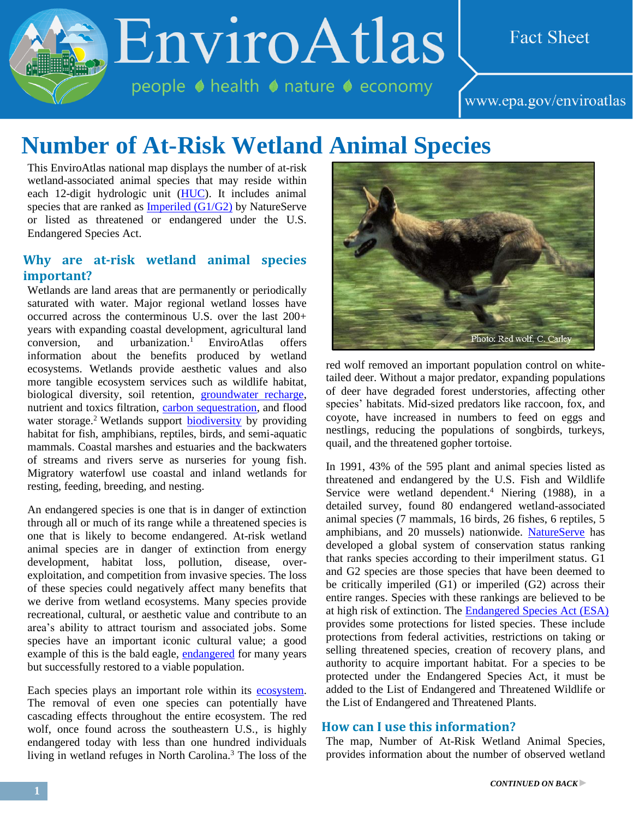EnviroAtlas

people ♦ health ♦ nature ♦ economy

## **Fact Sheet**

www.epa.gov/enviroatlas

# **Number of At-Risk Wetland Animal Species**

This EnviroAtlas national map displays the number of at-risk wetland-associated animal species that may reside within each 12-digit hydrologic unit [\(HUC\)](http://enviroatlas.epa.gov/enviroatlas/glossary/glossary.html#huc). It includes animal species that are ranked as [Imperiled \(G1/G2\)](http://help.natureserve.org/biotics/Content/Record_Management/Element_Files/Element_Tracking/ETRACK_Definitions_of_Heritage_Conservation_Status_Ranks.htm) by NatureServe or listed as threatened or endangered under the U.S. Endangered Species Act.

### **Why are at-risk wetland animal species important?**

Wetlands are land areas that are permanently or periodically saturated with water. Major regional wetland losses have occurred across the conterminous U.S. over the last 200+ years with expanding coastal development, agricultural land  $conversion$ , and urbanization.<sup>1</sup> EnviroAtlas offers information about the benefits produced by wetland ecosystems. Wetlands provide aesthetic values and also more tangible ecosystem services such as wildlife habitat, biological diversity, soil retention, [groundwater recharge,](http://enviroatlas.epa.gov/enviroatlas/glossary/glossary.html#recharge) nutrient and toxics filtration, [carbon sequestration,](http://enviroatlas.epa.gov/enviroatlas/glossary/glossary.html#sequestration) and flood water storage.<sup>2</sup> Wetlands support **biodiversity** by providing habitat for fish, amphibians, reptiles, birds, and semi-aquatic mammals. Coastal marshes and estuaries and the backwaters of streams and rivers serve as nurseries for young fish. Migratory waterfowl use coastal and inland wetlands for resting, feeding, breeding, and nesting.

An endangered species is one that is in danger of extinction through all or much of its range while a threatened species is one that is likely to become endangered. At-risk wetland animal species are in danger of extinction from energy development, habitat loss, pollution, disease, overexploitation, and competition from invasive species. The loss of these species could negatively affect many benefits that we derive from wetland ecosystems. Many species provide recreational, cultural, or aesthetic value and contribute to an area's ability to attract tourism and associated jobs. Some species have an important iconic cultural value; a good example of this is the bald eagle, [endangered](http://enviroatlas.epa.gov/enviroatlas/glossary/glossary.html#endangered) for many years but successfully restored to a viable population.

Each species plays an important role within its [ecosystem.](http://enviroatlas.epa.gov/enviroatlas/glossary/glossary.html#ecosystem) The removal of even one species can potentially have cascading effects throughout the entire ecosystem. The red wolf, once found across the southeastern U.S., is highly endangered today with less than one hundred individuals living in wetland refuges in North Carolina.<sup>3</sup> The loss of the



red wolf removed an important population control on whitetailed deer. Without a major predator, expanding populations of deer have degraded forest understories, affecting other species' habitats. Mid-sized predators like raccoon, fox, and coyote, have increased in numbers to feed on eggs and nestlings, reducing the populations of songbirds, turkeys, quail, and the threatened gopher tortoise.

In 1991, 43% of the 595 plant and animal species listed as threatened and endangered by the U.S. Fish and Wildlife Service were wetland dependent. <sup>4</sup> Niering (1988), in a detailed survey, found 80 endangered wetland-associated animal species (7 mammals, 16 birds, 26 fishes, 6 reptiles, 5 amphibians, and 20 mussels) nationwide. [NatureServe](http://www.natureserve.org/) has developed a global system of conservation status ranking that ranks species according to their imperilment status. G1 and G2 species are those species that have been deemed to be critically imperiled (G1) or imperiled (G2) across their entire ranges. Species with these rankings are believed to be at high risk of extinction. The [Endangered Species Act \(ESA\)](http://enviroatlas.epa.gov/enviroatlas/glossary/glossary.html#ESA) provides some protections for listed species. These include protections from federal activities, restrictions on taking or selling threatened species, creation of recovery plans, and authority to acquire important habitat. For a species to be protected under the Endangered Species Act, it must be added to the List of Endangered and Threatened Wildlife or the List of Endangered and Threatened Plants.

#### **How can I use this information?**

The map, Number of At-Risk Wetland Animal Species, provides information about the number of observed wetland